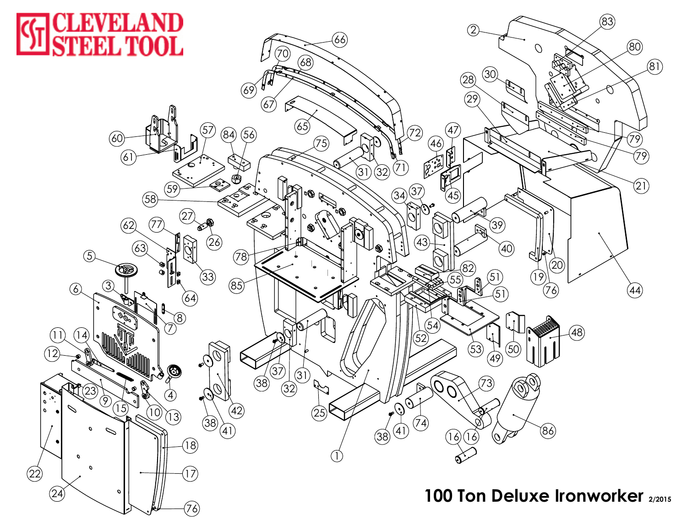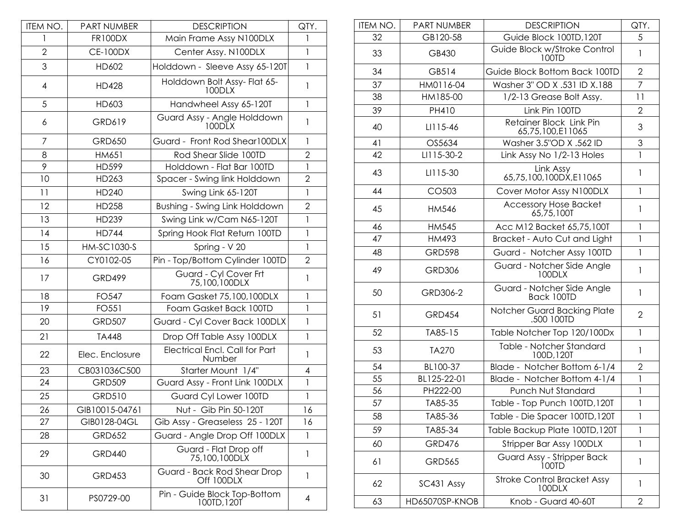| ITEM NO.       | <b>PART NUMBER</b> | <b>DESCRIPTION</b>                          | QTY.           |
|----------------|--------------------|---------------------------------------------|----------------|
| 1              | <b>FR100DX</b>     | Main Frame Assy N100DLX                     | 1              |
| $\overline{2}$ | <b>CE-100DX</b>    | Center Assy. N100DLX                        | 1              |
| 3              | HD602              | Holddown - Sleeve Assy 65-120T              | $\mathbf{1}$   |
| 4              | <b>HD428</b>       | Holddown Bolt Assy- Flat 65-<br>100DLX      | 1              |
| 5              | HD603              | Handwheel Assy 65-120T                      | 1              |
| 6              | GRD619             | Guard Assy - Angle Holddown<br>100DLX       | $\mathbf{1}$   |
| 7              | <b>GRD650</b>      | Guard - Front Rod Shear100DLX               | 1              |
| 8              | HM651              | Rod Shear Slide 100TD                       | $\overline{2}$ |
| 9              | HD599              | Holddown - Flat Bar 100TD                   | $\mathbf{1}$   |
| 10             | HD263              | Spacer - Swing link Holddown                | $\overline{2}$ |
| 11             | HD240              | Swing Link 65-120T                          | $\mathbf{1}$   |
| 12             | <b>HD258</b>       | Bushing - Swing Link Holddown               | $\overline{2}$ |
| 13             | HD239              | Swing Link w/Cam N65-120T                   | $\mathbf{1}$   |
| 14             | <b>HD744</b>       | Spring Hook Flat Return 100TD               | $\mathbf{1}$   |
| 15             | HM-SC1030-S        | Spring - V 20                               | $\mathbf{1}$   |
| 16             | CY0102-05          | Pin - Top/Bottom Cylinder 100TD             | $\overline{2}$ |
| 17             | <b>GRD499</b>      | Guard - Cyl Cover Frt<br>75,100,100DLX      | $\mathbf{1}$   |
| 18             | FO547              | Foam Gasket 75,100,100DLX                   | 1              |
| 19             | FO551              | Foam Gasket Back 100TD                      | $\mathbf{1}$   |
| 20             | <b>GRD507</b>      | Guard - Cyl Cover Back 100DLX               | $\mathbf{I}$   |
| 21             | <b>TA448</b>       | Drop Off Table Assy 100DLX                  | 1              |
| 22             | Elec. Enclosure    | Electrical Encl. Call for Part<br>Number    | 1              |
| 23             | CB031036C500       | Starter Mount 1/4"                          | 4              |
| 24             | <b>GRD509</b>      | Guard Assy - Front Link 100DLX              | 1              |
| 25             | <b>GRD510</b>      | Guard Cyl Lower 100TD                       | 1              |
| 26             | GIB10015-04761     | Nut - Gib Pin 50-120T                       | 16             |
| 27             | GIB0128-04GL       | Gib Assy - Greaseless 25 - 120T             | 16             |
| 28             | <b>GRD652</b>      | Guard - Angle Drop Off 100DLX               | 1              |
| 29             | <b>GRD440</b>      | Guard - Flat Drop off<br>75,100,100DLX      | 1              |
| 30             | <b>GRD453</b>      | Guard - Back Rod Shear Drop<br>Off 100DLX   | 1              |
| 31             | PS0729-00          | Pin - Guide Block Top-Bottom<br>100TD, 120T | 4              |

| ITEM NO. | <b>PART NUMBER</b> | <b>DESCRIPTION</b>                           | QTY.           |
|----------|--------------------|----------------------------------------------|----------------|
| 32       | GB120-58           | Guide Block 100TD, 120T                      | 5              |
| 33       | GB430              | Guide Block w/Stroke Control<br>100TD        | $\mathbf{1}$   |
| 34       | GB514              | Guide Block Bottom Back 100TD                | 2              |
| 37       | HM0116-04          | Washer 3" OD X .531 ID X.188                 | $\overline{7}$ |
| 38       | HM185-00           | 1/2-13 Grease Bolt Assy.                     | 11             |
| 39       | PH410              | Link Pin 100TD                               | $\overline{2}$ |
| 40       | LI115-46           | Retainer Block Link Pin<br>65,75,100,E11065  | 3              |
| 41       | OS5634             | Washer 3.5"OD X .562 ID                      | 3              |
| 42       | LI115-30-2         | Link Assy No 1/2-13 Holes                    | $\mathbf{1}$   |
| 43       | LI115-30           | Link Assy<br>65,75,100,100DX,E11065          | $\mathbf{1}$   |
| 44       | CO503              | Cover Motor Assy N100DLX                     | $\mathbf{I}$   |
| 45       | HM546              | <b>Accessory Hose Backet</b><br>65,75,100T   | 1              |
| 46       | HM545              | Acc M12 Backet 65,75,100T                    | $\mathbf{I}$   |
| 47       | HM493              | Bracket - Auto Cut and Light                 | $\mathbf{1}$   |
| 48       | <b>GRD598</b>      | Guard - Notcher Assy 100TD                   | $\mathbf{1}$   |
| 49       | <b>GRD306</b>      | Guard - Notcher Side Angle<br>100DLX         | $\mathbf{1}$   |
| 50       | GRD306-2           | Guard - Notcher Side Angle<br>Back 100TD     | $\mathbf{1}$   |
| 51       | <b>GRD454</b>      | Notcher Guard Backing Plate<br>.500 100TD    | $\overline{2}$ |
| 52       | TA85-15            | Table Notcher Top 120/100Dx                  | $\mathbf{1}$   |
| 53       | <b>TA270</b>       | Table - Notcher Standard<br>100D, 120T       | $\mathbf{1}$   |
| 54       | BL100-37           | Blade - Notcher Bottom 6-1/4                 | $\overline{2}$ |
| 55       | BL125-22-01        | Blade - Notcher Bottom 4-1/4                 | $\mathbf{1}$   |
| 56       | PH222-00           | Punch Nut Standard                           | 1              |
| 57       | TA85-35            | Table - Top Punch 100TD, 120T                | 1              |
| 58       | TA85-36            | Table - Die Spacer 100TD, 120T               | 1              |
| 59       | TA85-34            | Table Backup Plate 100TD, 120T               | 1              |
| 60       | <b>GRD476</b>      | Stripper Bar Assy 100DLX                     | 1              |
| 61       | <b>GRD565</b>      | Guard Assy - Stripper Back<br>100TD          | 1              |
| 62       | SC431 Assy         | <b>Stroke Control Bracket Assy</b><br>100DLX | 1              |
| 63       | HD65070SP-KNOB     | Knob - Guard 40-60T                          | $\overline{2}$ |